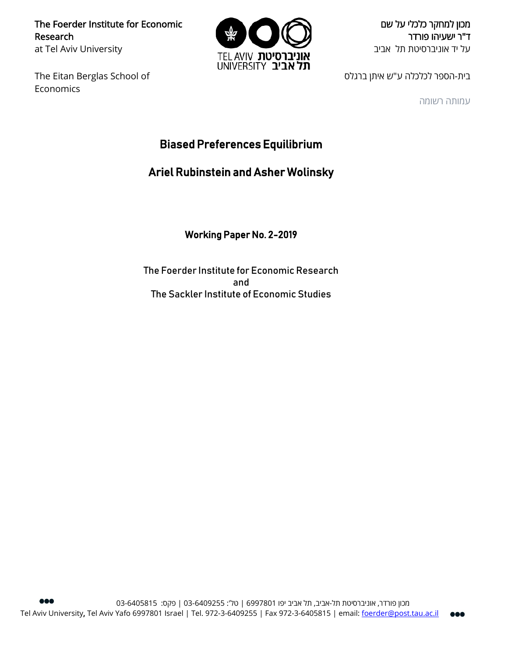The Foerder Institute for Economic Research at Tel Aviv University

The Eitan Berglas School of Economics



מכון למחקר כלכלי על שם ד"ר ישעיהו פורדר על יד אוניברסיטת תל אביב

בית-הספר לכלכלה ע"ש איתן ברגלס

עמותה רשומה

# Biased Preferences Equilibrium

## Ariel Rubinstein and Asher Wolinsky

Working Paper No. 2-2019

The Foerder Institute for Economic Research and The Sackler Institute of Economic Studies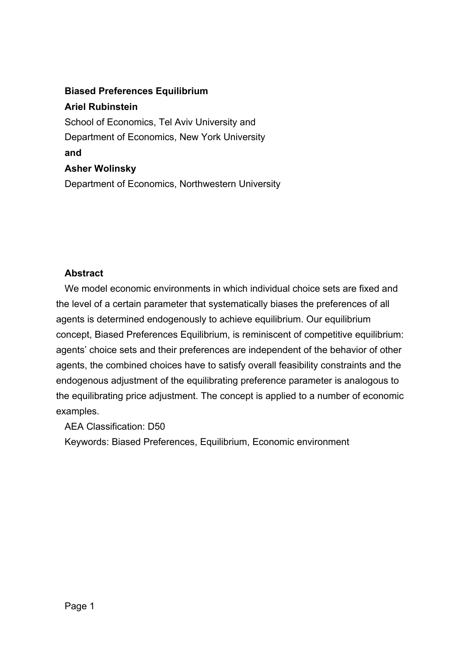## **Biased Preferences Equilibrium**

**Ariel Rubinstein**

School of Economics, Tel Aviv University and Department of Economics, New York University **and Asher Wolinsky** Department of Economics, Northwestern University

## **Abstract**

We model economic environments in which individual choice sets are fixed and the level of a certain parameter that systematically biases the preferences of all agents is determined endogenously to achieve equilibrium. Our equilibrium concept, Biased Preferences Equilibrium, is reminiscent of competitive equilibrium: agents' choice sets and their preferences are independent of the behavior of other agents, the combined choices have to satisfy overall feasibility constraints and the endogenous adjustment of the equilibrating preference parameter is analogous to the equilibrating price adjustment. The concept is applied to a number of economic examples.

AEA Classification: D50

Keywords: Biased Preferences, Equilibrium, Economic environment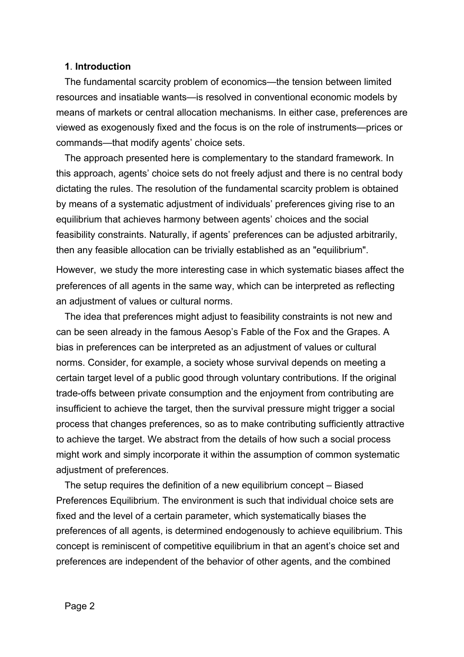### **1**. **Introduction**

The fundamental scarcity problem of economics—the tension between limited resources and insatiable wants—is resolved in conventional economic models by means of markets or central allocation mechanisms. In either case, preferences are viewed as exogenously fixed and the focus is on the role of instruments—prices or commands—that modify agents' choice sets.

The approach presented here is complementary to the standard framework. In this approach, agents' choice sets do not freely adjust and there is no central body dictating the rules. The resolution of the fundamental scarcity problem is obtained by means of a systematic adjustment of individuals' preferences giving rise to an equilibrium that achieves harmony between agents' choices and the social feasibility constraints. Naturally, if agents' preferences can be adjusted arbitrarily, then any feasible allocation can be trivially established as an "equilibrium".

However, we study the more interesting case in which systematic biases affect the preferences of all agents in the same way, which can be interpreted as reflecting an adjustment of values or cultural norms.

The idea that preferences might adjust to feasibility constraints is not new and can be seen already in the famous Aesop's Fable of the Fox and the Grapes. A bias in preferences can be interpreted as an adjustment of values or cultural norms. Consider, for example, a society whose survival depends on meeting a certain target level of a public good through voluntary contributions. If the original trade-offs between private consumption and the enjoyment from contributing are insufficient to achieve the target, then the survival pressure might trigger a social process that changes preferences, so as to make contributing sufficiently attractive to achieve the target. We abstract from the details of how such a social process might work and simply incorporate it within the assumption of common systematic adjustment of preferences.

The setup requires the definition of a new equilibrium concept – Biased Preferences Equilibrium. The environment is such that individual choice sets are fixed and the level of a certain parameter, which systematically biases the preferences of all agents, is determined endogenously to achieve equilibrium. This concept is reminiscent of competitive equilibrium in that an agent's choice set and preferences are independent of the behavior of other agents, and the combined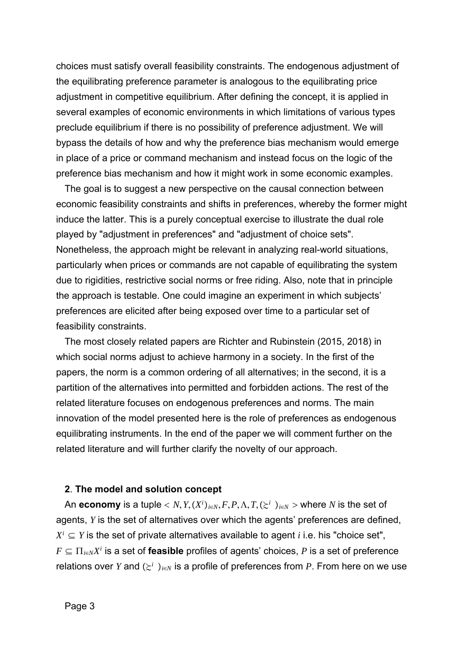choices must satisfy overall feasibility constraints. The endogenous adjustment of the equilibrating preference parameter is analogous to the equilibrating price adjustment in competitive equilibrium. After defining the concept, it is applied in several examples of economic environments in which limitations of various types preclude equilibrium if there is no possibility of preference adjustment. We will bypass the details of how and why the preference bias mechanism would emerge in place of a price or command mechanism and instead focus on the logic of the preference bias mechanism and how it might work in some economic examples.

The goal is to suggest a new perspective on the causal connection between economic feasibility constraints and shifts in preferences, whereby the former might induce the latter. This is a purely conceptual exercise to illustrate the dual role played by "adjustment in preferences" and "adjustment of choice sets". Nonetheless, the approach might be relevant in analyzing real-world situations, particularly when prices or commands are not capable of equilibrating the system due to rigidities, restrictive social norms or free riding. Also, note that in principle the approach is testable. One could imagine an experiment in which subjects' preferences are elicited after being exposed over time to a particular set of feasibility constraints.

The most closely related papers are Richter and Rubinstein (2015, 2018) in which social norms adjust to achieve harmony in a society. In the first of the papers, the norm is a common ordering of all alternatives; in the second, it is a partition of the alternatives into permitted and forbidden actions. The rest of the related literature focuses on endogenous preferences and norms. The main innovation of the model presented here is the role of preferences as endogenous equilibrating instruments. In the end of the paper we will comment further on the related literature and will further clarify the novelty of our approach.

#### **2**. **The model and solution concept**

An  $\mathop{\mathsf{economy}}$  is a tuple  $< N, Y, (X^i)_{i \in N}, F, P, \Lambda, T, (\succeq^i)_{i \in N} >$  where  $N$  is the set of agents, *Y* is the set of alternatives over which the agents' preferences are defined,  $X^i \subseteq Y$  is the set of private alternatives available to agent *i* i.e. his "choice set",  $F \subseteq \prod_{i \in N} X^i$  is a set of **feasible** profiles of agents' choices, P is a set of preference relations over *Y* and  $(\geq^i)_{i\in\mathbb{N}}$  is a profile of preferences from *P*. From here on we use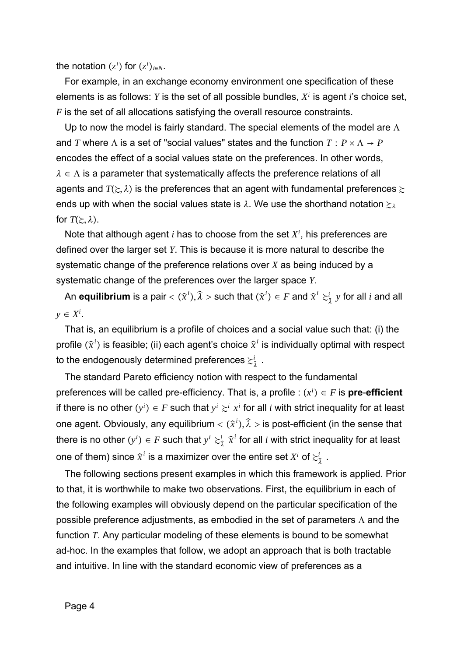the notation  $(z^i)$  for  $(z^i)_{i \in N}$ .

For example, in an exchange economy environment one specification of these elements is as follows: *Y* is the set of all possible bundles, *Xi* is agent *i*'s choice set, *F* is the set of all allocations satisfying the overall resource constraints.

Up to now the model is fairly standard. The special elements of the model are  $\Lambda$ and *T* where  $\Lambda$  is a set of "social values" states and the function  $T : P \times \Lambda \to P$ encodes the effect of a social values state on the preferences. In other words,  $\lambda \in \Lambda$  is a parameter that systematically affects the preference relations of all agents and  $T(\Sigma, \lambda)$  is the preferences that an agent with fundamental preferences  $\succcurlyeq$ ends up with when the social values state is  $\lambda$ . We use the shorthand notation  $\epsilon_{\lambda}$ for  $T(\geq,\lambda)$ .

Note that although agent *i* has to choose from the set *Xi* , his preferences are defined over the larger set *Y*. This is because it is more natural to describe the systematic change of the preference relations over *X* as being induced by a systematic change of the preferences over the larger space *Y*.

An **equilibrium** is a pair  $<$   $(\widehat{x}^i)$ ,  $\hat{z}$  $\widehat{\lambda} >$  such that  $(\widehat{x}^i) \in F$  and  $\widehat{x}^i \succcurlyeq _{\widehat{\lambda}}^i y$  for all  $i$  and all *y* ∈ *Xi* .

That is, an equilibrium is a profile of choices and a social value such that: (i) the profile  $(\widehat{x}^i)$  is feasible; (ii) each agent's choice  $\widehat{x}^i$  is individually optimal with respect to the endogenously determined preferences  $\stackrel{>}{_{\sim}}\!\!_{\hat{\lambda}}$  .

The standard Pareto efficiency notion with respect to the fundamental preferences will be called pre-efficiency. That is, a profile :  $(x^i) \in F$  is **pre-efficient** if there is no other  $(y^i) \in F$  such that  $y^i \succsim^i x^i$  for all  $i$  with strict inequality for at least one agent. Obviously, any equilibrium  $<$   $(\widehat{x}^{i}),$  $\hat{z}$  $\widehat{\lambda}$  > is post-efficient (in the sense that there is no other  $(y^i) \in F$  such that  $y^i \succcurlyeq_{\widehat{\lambda}}^i$  $\hat{a}^i_{\hat{\tau}}$   $\hat{\mathbf{x}}^i$  for all  $i$  with strict inequality for at least one of them) since  $\widehat{\mathbf{x}}^i$  is a maximizer over the entire set  $X^i$  of  $\gtrsim^i_{\widehat{\lambda}}$  .

The following sections present examples in which this framework is applied. Prior to that, it is worthwhile to make two observations. First, the equilibrium in each of the following examples will obviously depend on the particular specification of the possible preference adjustments, as embodied in the set of parameters  $\Lambda$  and the function *T*. Any particular modeling of these elements is bound to be somewhat ad-hoc. In the examples that follow, we adopt an approach that is both tractable and intuitive. In line with the standard economic view of preferences as a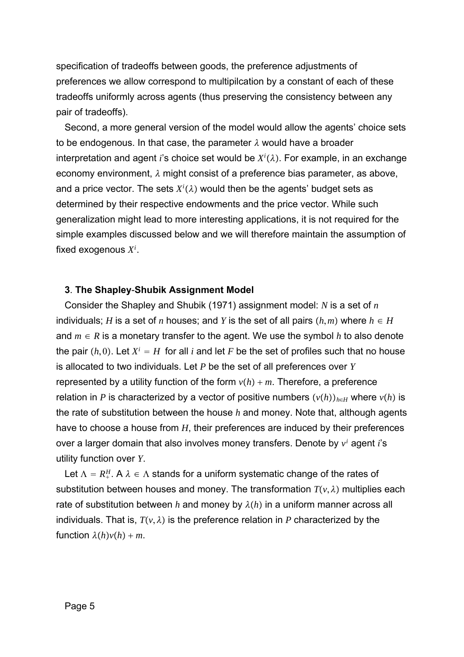specification of tradeoffs between goods, the preference adjustments of preferences we allow correspond to multipilcation by a constant of each of these tradeoffs uniformly across agents (thus preserving the consistency between any pair of tradeoffs).

Second, a more general version of the model would allow the agents' choice sets to be endogenous. In that case, the parameter  $\lambda$  would have a broader interpretation and agent *i*'s choice set would be  $X^i(\lambda)$ . For example, in an exchange economy environment,  $\lambda$  might consist of a preference bias parameter, as above, and a price vector. The sets  $X^i(\lambda)$  would then be the agents' budget sets as determined by their respective endowments and the price vector. While such generalization might lead to more interesting applications, it is not required for the simple examples discussed below and we will therefore maintain the assumption of fixed exogenous *Xi* .

#### **3**. **The Shapley**-**Shubik Assignment Model**

Consider the Shapley and Shubik (1971) assignment model: *N* is a set of *n* individuals; *H* is a set of *n* houses; and *Y* is the set of all pairs  $(h,m)$  where  $h \in H$ and  $m \in R$  is a monetary transfer to the agent. We use the symbol h to also denote the pair  $(h, 0)$ . Let  $X^i = H$  for all *i* and let *F* be the set of profiles such that no house is allocated to two individuals. Let *P* be the set of all preferences over *Y* represented by a utility function of the form  $v(h) + m$ . Therefore, a preference relation in *P* is characterized by a vector of positive numbers  $(v(h))_{h\in H}$  where  $v(h)$  is the rate of substitution between the house *h* and money. Note that, although agents have to choose a house from *H*, their preferences are induced by their preferences over a larger domain that also involves money transfers. Denote by *vi* agent *i*'s utility function over *Y*.

Let  $\Lambda=R_+^H.$  A  $\lambda\in\Lambda$  stands for a uniform systematic change of the rates of substitution between houses and money. The transformation  $T(v, \lambda)$  multiplies each rate of substitution between *h* and money by  $\lambda(h)$  in a uniform manner across all individuals. That is,  $T(v, \lambda)$  is the preference relation in P characterized by the function  $\lambda(h)v(h) + m$ .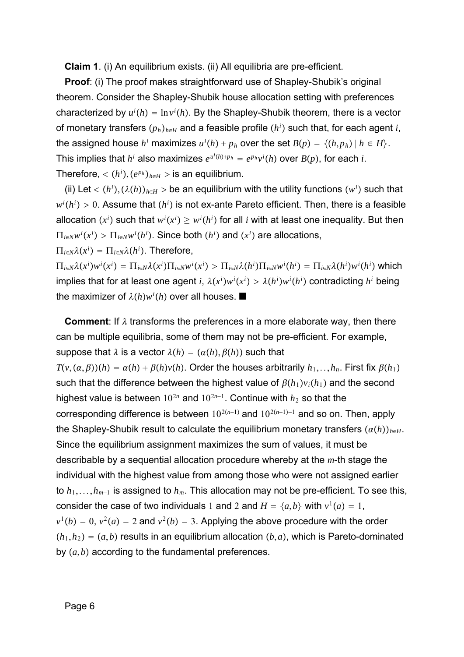**Claim 1**. (i) An equilibrium exists. (ii) All equilibria are pre-efficient.

**Proof**: (i) The proof makes straightforward use of Shapley-Shubik's original theorem. Consider the Shapley-Shubik house allocation setting with preferences characterized by  $u^{i}(h) = \ln v^{i}(h)$ . By the Shapley-Shubik theorem, there is a vector of monetary transfers  $(p_h)_{h∈H}$  and a feasible profile  $(h^i)$  such that, for each agent *i*, the assigned house  $h^i$  maximizes  $u^i(h) + p_h$  over the set  $B(p) = \{(h, p_h) | h \in H\}$ . This implies that  $h^i$  also maximizes  $e^{u^i(h)+p_h} = e^{p_h} v^i(h)$  over  $B(p)$ , for each *i*. Therefore,  $\langle (h^i), (e^{p_h})_{h \in H} \rangle$  is an equilibrium.

 $\phi$  (ii) Let <  $(h^i)$ ,  $(\lambda(h))_{h∈H}$  > be an equilibrium with the utility functions  $(w^i)$  such that  $w^i(h^i)>0.$  Assume that  $(h^i)$  is not ex-ante Pareto efficient. Then, there is a feasible allocation  $(x^i)$  such that  $w^i(x^i) \geq w^i(h^i)$  for all *i* with at least one inequality. But then  $\Pi_{i\in N} w^i(x^i) > \Pi_{i\in N} w^i(h^i).$  Since both  $(h^i)$  and  $(x^i)$  are allocations,

 $\Pi_{i\in N}\lambda(x^i) = \Pi_{i\in N}\lambda(h^i)$ . Therefore,

 $\prod_{i\in N}\lambda(x^i)w^i(x^i)=\prod_{i\in N}\lambda(x^i)\prod_{i\in N}w^i(x^i)>\prod_{i\in N}\lambda(h^i)\Pi_{i\in N}w^i(h^i)=\Pi_{i\in N}\lambda(h^i)w^i(h^i)$  which implies that for at least one agent *i*,  $\lambda(x^i)w^i(x^i) > \lambda(h^i)w^i(h^i)$  contradicting  $h^i$  being the maximizer of  $\lambda(h)w^i(h)$  over all houses.  $\blacksquare$ 

**Comment:** If  $\lambda$  transforms the preferences in a more elaborate way, then there can be multiple equilibria, some of them may not be pre-efficient. For example, suppose that  $\lambda$  is a vector  $\lambda(h) = (\alpha(h), \beta(h))$  such that  $T(v, (\alpha, \beta))(h) = \alpha(h) + \beta(h)v(h)$ . Order the houses arbitrarily  $h_1, \ldots, h_n$ . First fix  $\beta(h_1)$ such that the difference between the highest value of  $\beta(h_1)v_i(h_1)$  and the second highest value is between  $10^{2n}$  and  $10^{2n-1}$ . Continue with  $h_2$  so that the corresponding difference is between 102*n*−1 and 102*n*−1−<sup>1</sup> and so on. Then, apply the Shapley-Shubik result to calculate the equilibrium monetary transfers  $(a(h))_{h\in H}$ . Since the equilibrium assignment maximizes the sum of values, it must be describable by a sequential allocation procedure whereby at the *m*-th stage the individual with the highest value from among those who were not assigned earlier to *h*1,...,*hm*−<sup>1</sup> is assigned to *hm*. This allocation may not be pre-efficient. To see this, consider the case of two individuals 1 and 2 and  $H = \{a,b\}$  with  $v^1(a) = 1$ ,  $v^{1}(b) = 0$ ,  $v^{2}(a) = 2$  and  $v^{2}(b) = 3$ . Applying the above procedure with the order  $(h_1, h_2) = (a, b)$  results in an equilibrium allocation  $(b, a)$ , which is Pareto-dominated by  $(a,b)$  according to the fundamental preferences.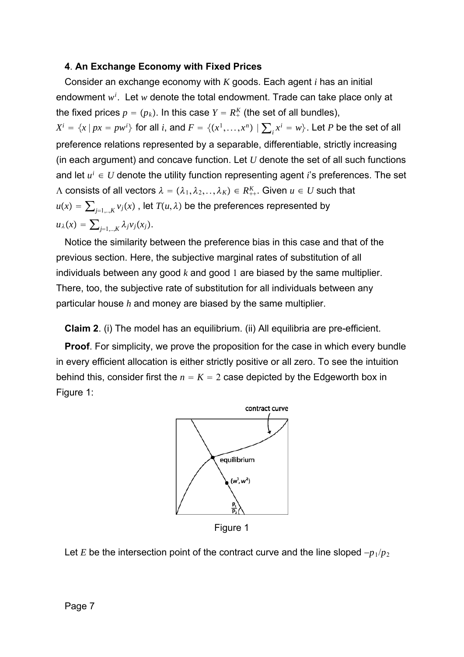## **4**. **An Exchange Economy with Fixed Prices**

Consider an exchange economy with *K* goods. Each agent *i* has an initial endowment *wi* . Let *w* denote the total endowment. Trade can take place only at the fixed prices  $p = (p_k)$ . In this case  $Y = R^K_+$  (the set of all bundles),  $X^i = \{x \, | \, px = pw^i\}$  for all  $i$ , and  $F = \{(x^1, \ldots, x^n) \mid \sum_i x^i = w\}$ . Let  $P$  be the set of all preference relations represented by a separable, differentiable, strictly increasing (in each argument) and concave function. Let *U* denote the set of all such functions and let  $u^i \in U$  denote the utility function representing agent *i*'s preferences. The set  $\Lambda$  consists of all vectors  $\lambda = (\lambda_1,\lambda_2,..,\lambda_K) \in R^K_{++}.$  Given  $u \in U$  such that  $u(x) = \sum_{j=1,..,K} v_j(x)$ , let  $T(u,\lambda)$  be the preferences represented by  $u_{\lambda}(x) = \sum_{i=1,\dots,K} \lambda_j v_j(x_i).$ 

Notice the similarity between the preference bias in this case and that of the previous section. Here, the subjective marginal rates of substitution of all individuals between any good *k* and good 1 are biased by the same multiplier. There, too, the subjective rate of substitution for all individuals between any particular house *h* and money are biased by the same multiplier.

**Claim 2**. (i) The model has an equilibrium. (ii) All equilibria are pre-efficient.

**Proof**. For simplicity, we prove the proposition for the case in which every bundle in every efficient allocation is either strictly positive or all zero. To see the intuition behind this, consider first the  $n = K = 2$  case depicted by the Edgeworth box in Figure 1:



Figure 1

Let *E* be the intersection point of the contract curve and the line sloped −*p*1/*p*<sup>2</sup>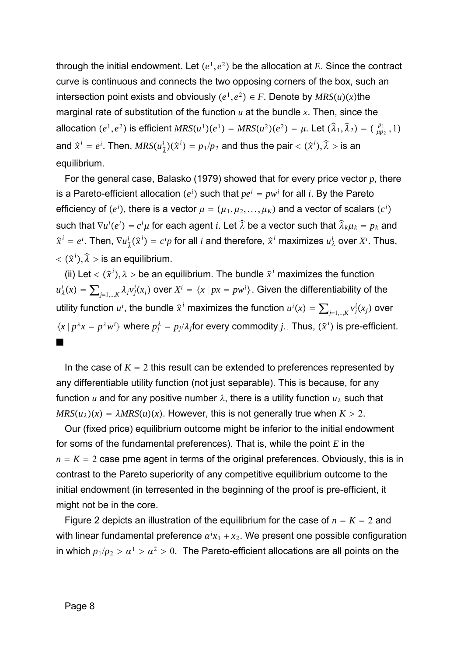through the initial endowment. Let  $(e^1, e^2)$  be the allocation at *E*. Since the contract curve is continuous and connects the two opposing corners of the box, such an intersection point exists and obviously  $(e^1, e^2) \in F$ . Denote by  $MRS(u)(x)$ the marginal rate of substitution of the function *u* at the bundle *x*. Then, since the allocation  $(e^1, e^2)$  is efficient  $MRS(u^1)(e^1) = MRS(u^2)(e^2) = \mu$ . Let  $(\hat{\lambda})$  $\widehat{\lambda }_{1},$  $\widehat{\lambda}_{2}$  =  $(\frac{p_{1}}{\mu p_{2}}, 1)$ and  $\widehat{x}^i = e^i$ . Then,  $MRS(u^i_{\widehat{\lambda}})(\widehat{x}^i) = p_1/p_2$  and thus the pair  $<(\widehat{x}^i)$ ,  $\hat{z}$  $\widehat{\lambda} >$  is an equilibrium.

For the general case, Balasko (1979) showed that for every price vector *p*, there is a Pareto-efficient allocation  $(e^i)$  such that  $pe^i = pw^i$  for all *i*. By the Pareto efficiency of  $(e^i)$ , there is a vector  $\mu = (\mu_1, \mu_2, ..., \mu_K)$  and a vector of scalars  $(c^i)$  $\int$  such that  $\nabla u^i(e^i) = c^i\mu$  for each agent *i*. Let  $\widehat{\lambda}$  be a vector such that  $\widehat{\lambda}_k\mu_k = p_k$  and  $\widehat{x}^i=e^i.$  Then,  $\nabla u_{\widehat{\lambda}}^i(\widehat{x}^i)=c^ip$  for all  $i$  and therefore,  $\widehat{x}^i$  maximizes  $u_{\lambda}^i$  over  $X^i.$  Thus,  $\langle (\hat{x}^i),$  $\hat{z}$  $\widehat{\lambda} >$  is an equilibrium.

(ii) Let  $<$   $(\widehat{x}^i)$ , $\lambda >$  be an equilibrium. The bundle  $\widehat{x}^i$  maximizes the function  $u^i_\lambda(x)=\sum_{j=1,..,K}\lambda_jv^i_j(x_j)$  over  $X^i=\{x\,|\, px=pw^i\}.$  Given the differentiability of the utility function  $u^i$ , the bundle  $\widehat{x}^i$  maximizes the function  $u^i(x) = \sum_{j=1,..,K} v^i_j(x_j)$  over  $\{x \mid p^{\lambda}x = p^{\lambda}w^i\}$  where  $p_j^{\lambda} = p_j/\lambda_j$  for every commodity *j*. Thus,  $(\hat{x}^i)$  is pre-efficient. 

In the case of  $K = 2$  this result can be extended to preferences represented by any differentiable utility function (not just separable). This is because, for any function *u* and for any positive number  $\lambda$ , there is a utility function  $u_{\lambda}$  such that  $MRS(u_{\lambda})(x) = \lambda MRS(u)(x)$ . However, this is not generally true when  $K > 2$ .

Our (fixed price) equilibrium outcome might be inferior to the initial endowment for soms of the fundamental preferences). That is, while the point *E* in the  $n = K = 2$  case pme agent in terms of the original preferences. Obviously, this is in contrast to the Pareto superiority of any competitive equilibrium outcome to the initial endowment (in terresented in the beginning of the proof is pre-efficient, it might not be in the core.

Figure 2 depicts an illustration of the equilibrium for the case of  $n = K = 2$  and with linear fundamental preference  $\alpha^i x_1 + x_2$ . We present one possible configuration in which  $p_1/p_2 > a^1 > a^2 > 0$ . The Pareto-efficient allocations are all points on the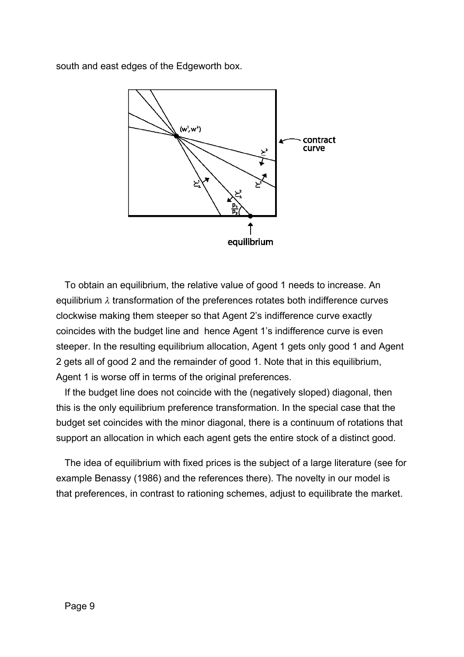south and east edges of the Edgeworth box.



To obtain an equilibrium, the relative value of good 1 needs to increase. An equilibrium  $\lambda$  transformation of the preferences rotates both indifference curves clockwise making them steeper so that Agent 2's indifference curve exactly coincides with the budget line and hence Agent 1's indifference curve is even steeper. In the resulting equilibrium allocation, Agent 1 gets only good 1 and Agent 2 gets all of good 2 and the remainder of good 1. Note that in this equilibrium, Agent 1 is worse off in terms of the original preferences.

If the budget line does not coincide with the (negatively sloped) diagonal, then this is the only equilibrium preference transformation. In the special case that the budget set coincides with the minor diagonal, there is a continuum of rotations that support an allocation in which each agent gets the entire stock of a distinct good.

The idea of equilibrium with fixed prices is the subject of a large literature (see for example Benassy (1986) and the references there). The novelty in our model is that preferences, in contrast to rationing schemes, adjust to equilibrate the market.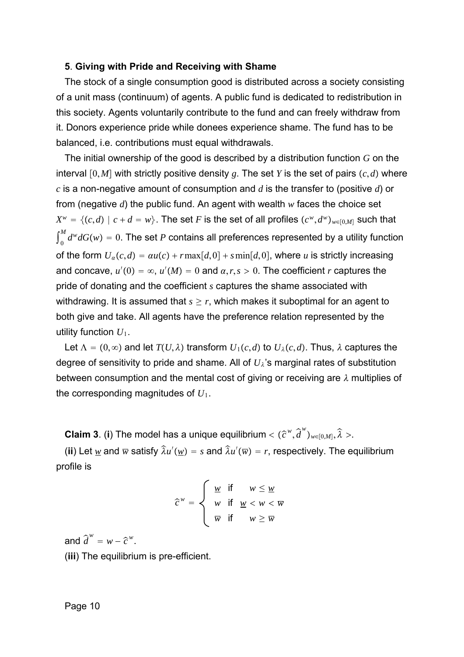#### **5**. **Giving with Pride and Receiving with Shame**

The stock of a single consumption good is distributed across a society consisting of a unit mass (continuum) of agents. A public fund is dedicated to redistribution in this society. Agents voluntarily contribute to the fund and can freely withdraw from it. Donors experience pride while donees experience shame. The fund has to be balanced, i.e. contributions must equal withdrawals.

The initial ownership of the good is described by a distribution function *G* on the interval  $[0,M]$  with strictly positive density g. The set Y is the set of pairs  $(c,d)$  where *c* is a non-negative amount of consumption and *d* is the transfer to (positive *d*) or from (negative *d*) the public fund. An agent with wealth *w* faces the choice set  $X^w = \{(c,d) \mid c+d=w\}$ . The set *F* is the set of all profiles  $(c^w, d^w)_{w\in[0,M]}$  such that  $\int_0^M d^w dG(w) = 0.$  The set  $P$  contains all preferences represented by a utility function of the form  $U_a(c,d) = \alpha u(c) + r \max[d,0] + s \min[d,0]$ , where *u* is strictly increasing and concave,  $u'(0) = \infty$ ,  $u'(M) = 0$  and  $\alpha, r, s > 0$ . The coefficient *r* captures the pride of donating and the coefficient *s* captures the shame associated with withdrawing. It is assumed that  $s \geq r$ , which makes it suboptimal for an agent to both give and take. All agents have the preference relation represented by the utility function  $U_1$ .

Let  $\Lambda = (0, \infty)$  and let  $T(U, \lambda)$  transform  $U_1(c,d)$  to  $U_2(c,d)$ . Thus,  $\lambda$  captures the degree of sensitivity to pride and shame. All of *U*'s marginal rates of substitution between consumption and the mental cost of giving or receiving are  $\lambda$  multiplies of the corresponding magnitudes of *U*1.

**Claim 3**. (**i**) The model has a unique equilibrium  $<$   $(\widehat{c}^w, \widehat{d})$  $\widehat{d}^w)_{w\in[0,M]},$  $\hat{z}$  $\widehat{\lambda} >$ .

(ii) Let  $\underline{w}$  and  $\overline{w}$  satisfy  $\widehat{\lambda} u'(\underline{w}) = s$  and  $\widehat{\lambda} u'(\overline{w}) = r$ , respectively. The equilibrium profile is

$$
\widehat{c}^w = \begin{cases} \underline{w} & \text{if } w \leq \underline{w} \\ w & \text{if } \underline{w} < w < \overline{w} \\ \overline{w} & \text{if } w \geq \overline{w} \end{cases}
$$

and  $\widehat{d}^w = w - \widehat{c}^w$ .

(**iii**) The equilibrium is pre-efficient.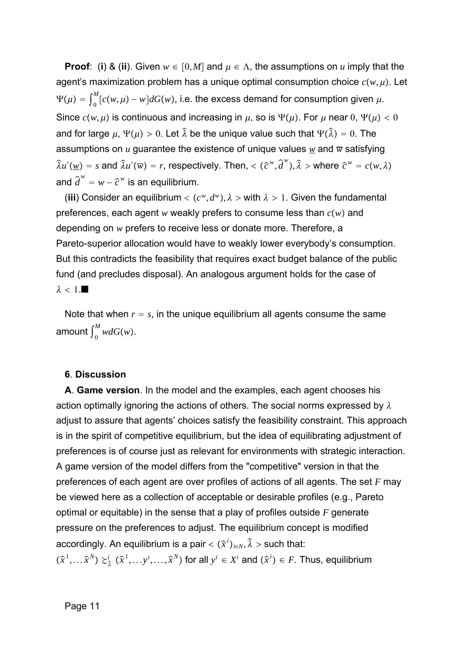**Proof**: (**i**) & (**ii**). Given  $w \in [0,M]$  and  $\mu \in \Lambda$ , the assumptions on  $u$  imply that the agent's maximization problem has a unique optimal consumption choice  $c(w, \mu)$ . Let  $\Psi(\mu) = \int_0^{\mu}$ *M*<sub>∩</sub>  $\int_{0}^{M} [c(w,\mu) - w] dG(w)$ , i.e. the excess demand for consumption given  $\mu$ . Since  $c(w, \mu)$  is continuous and increasing in  $\mu$ , so is  $\Psi(\mu)$ . For  $\mu$  near 0,  $\Psi(\mu) < 0$ and for large  $\mu$ ,  $\Psi(\mu) > 0$ . Let  $\widehat{\lambda}$  be the unique value such that  $\Psi($  $\hat{z}$  $\widehat{\lambda}$ ) = 0. The assumptions on *u* guarantee the existence of unique values  $w$  and  $\overline{w}$  satisfying  $\hat{z}$  $\widehat{\lambda}u'(\underline{w}) = s$  and  $\widehat{\lambda}u'(\overline{w}) = r$ , respectively. Then, <  $(\widehat{c}^w, \widehat{d})$ *d w* ,  $\hat{\lambda}$  > where  $\hat{c}^w = c(w, \lambda)$ and  $\widehat{d}^w = w - \widehat{c}^w$  is an equilibrium.

(iii) Consider an equilibrium  $\langle (c^w, d^w), \lambda \rangle$  with  $\lambda > 1$ . Given the fundamental preferences, each agent  $w$  weakly prefers to consume less than  $c(w)$  and depending on *w* prefers to receive less or donate more. Therefore, a Pareto-superior allocation would have to weakly lower everybody's consumption. But this contradicts the feasibility that requires exact budget balance of the public fund (and precludes disposal). An analogous argument holds for the case of  $\lambda < 1$ .

Note that when  $r = s$ , in the unique equilibrium all agents consume the same amount  $\int_0^M wdG(w)$ .

#### **6**. **Discussion**

**A**. **Game version**. In the model and the examples, each agent chooses his action optimally ignoring the actions of others. The social norms expressed by  $\lambda$ adjust to assure that agents' choices satisfy the feasibility constraint. This approach is in the spirit of competitive equilibrium, but the idea of equilibrating adjustment of preferences is of course just as relevant for environments with strategic interaction. A game version of the model differs from the "competitive" version in that the preferences of each agent are over profiles of actions of all agents. The set *F* may be viewed here as a collection of acceptable or desirable profiles (e.g., Pareto optimal or equitable) in the sense that a play of profiles outside *F* generate pressure on the preferences to adjust. The equilibrium concept is modified accordingly. An equilibrium is a pair  $<( \widehat{x}^i)_{i \in N},$  $\hat{z}$  $\widehat{\lambda}$  > such that:  $(\widehat{x}^1,\dots \widehat{x}^N)\succcurlyeq _{\widehat{\lambda}}^i(\widehat{x}^1,\dots y^i,\dots,\widehat{x}^N)$  for all  $y^i\in X^i$  and  $(\widehat{x}^i)\in F.$  Thus, equilibrium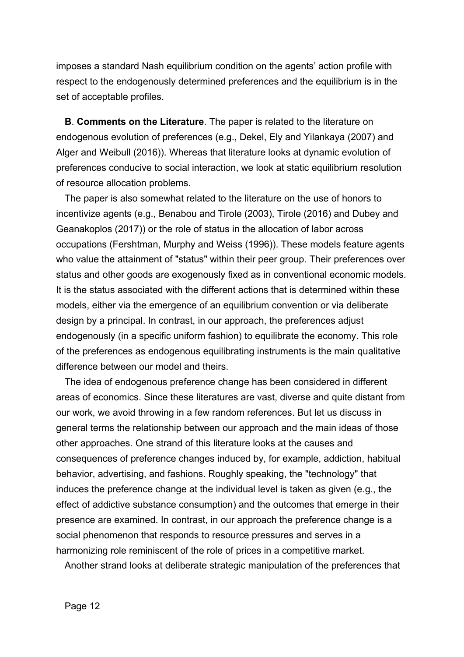imposes a standard Nash equilibrium condition on the agents' action profile with respect to the endogenously determined preferences and the equilibrium is in the set of acceptable profiles.

**B**. **Comments on the Literature**. The paper is related to the literature on endogenous evolution of preferences (e.g., Dekel, Ely and Yilankaya (2007) and Alger and Weibull (2016)). Whereas that literature looks at dynamic evolution of preferences conducive to social interaction, we look at static equilibrium resolution of resource allocation problems.

The paper is also somewhat related to the literature on the use of honors to incentivize agents (e.g., Benabou and Tirole (2003), Tirole (2016) and Dubey and Geanakoplos (2017)) or the role of status in the allocation of labor across occupations (Fershtman, Murphy and Weiss (1996)). These models feature agents who value the attainment of "status" within their peer group. Their preferences over status and other goods are exogenously fixed as in conventional economic models. It is the status associated with the different actions that is determined within these models, either via the emergence of an equilibrium convention or via deliberate design by a principal. In contrast, in our approach, the preferences adjust endogenously (in a specific uniform fashion) to equilibrate the economy. This role of the preferences as endogenous equilibrating instruments is the main qualitative difference between our model and theirs.

The idea of endogenous preference change has been considered in different areas of economics. Since these literatures are vast, diverse and quite distant from our work, we avoid throwing in a few random references. But let us discuss in general terms the relationship between our approach and the main ideas of those other approaches. One strand of this literature looks at the causes and consequences of preference changes induced by, for example, addiction, habitual behavior, advertising, and fashions. Roughly speaking, the "technology" that induces the preference change at the individual level is taken as given (e.g., the effect of addictive substance consumption) and the outcomes that emerge in their presence are examined. In contrast, in our approach the preference change is a social phenomenon that responds to resource pressures and serves in a harmonizing role reminiscent of the role of prices in a competitive market.

Another strand looks at deliberate strategic manipulation of the preferences that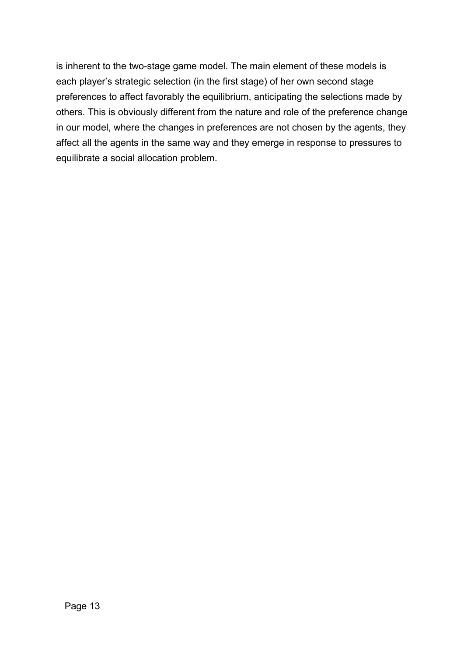is inherent to the two-stage game model. The main element of these models is each player's strategic selection (in the first stage) of her own second stage preferences to affect favorably the equilibrium, anticipating the selections made by others. This is obviously different from the nature and role of the preference change in our model, where the changes in preferences are not chosen by the agents, they affect all the agents in the same way and they emerge in response to pressures to equilibrate a social allocation problem.